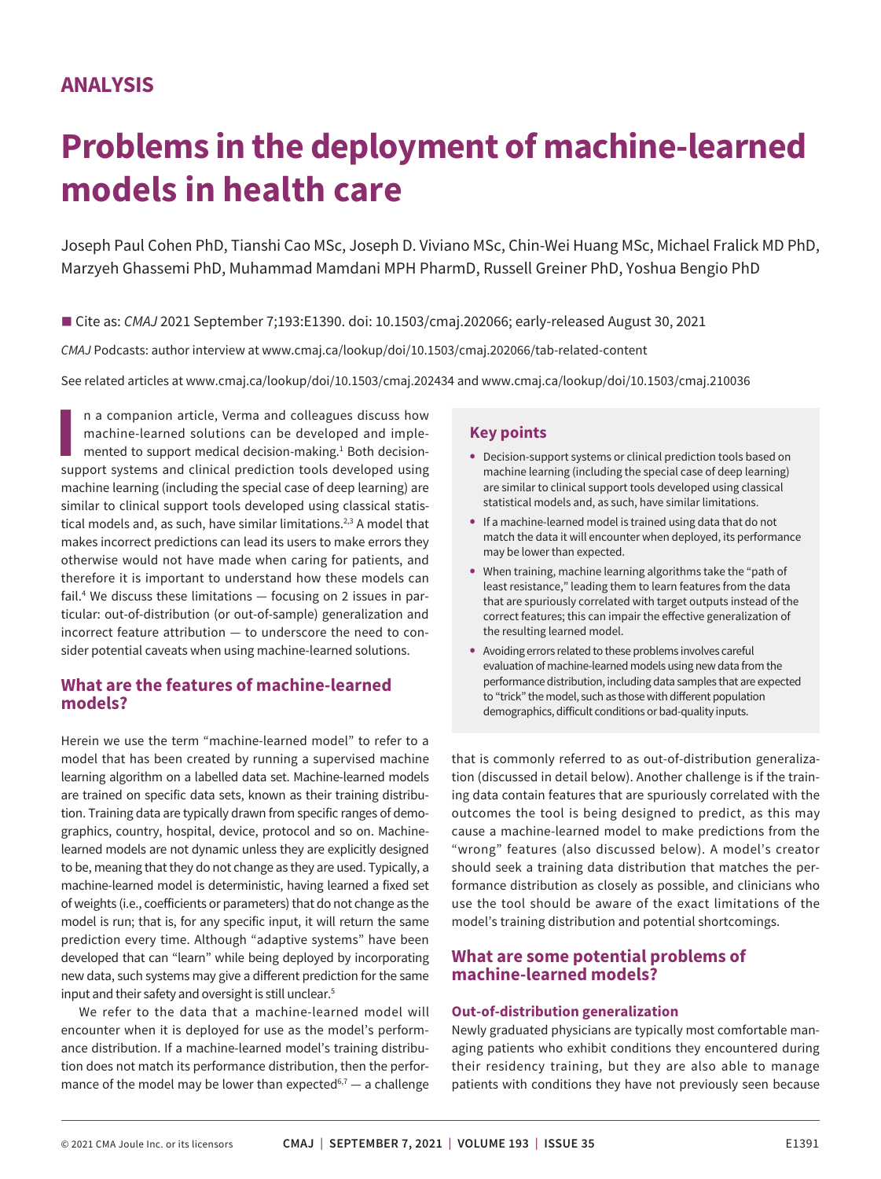# **Problems in the deployment of machine-learned models in health care**

Joseph Paul Cohen PhD, Tianshi Cao MSc, Joseph D. Viviano MSc, Chin-Wei Huang MSc, Michael Fralick MD PhD, Marzyeh Ghassemi PhD, Muhammad Mamdani MPH PharmD, Russell Greiner PhD, Yoshua Bengio PhD

■ Cite as: *CMAJ* 2021 September 7;193:E1390. doi: 10.1503/cmaj.202066; early-released August 30, 2021

*CMAJ* Podcasts: author interview at www.cmaj.ca/lookup/doi/10.1503/cmaj.202066/tab-related-content

See related articles at www.cmaj.ca/lookup/doi/10.1503/cmaj.202434 and www.cmaj.ca/lookup/doi/10.1503/cmaj.210036

**I** in a companion article, Verma and colleagues discuss how machine-learned solutions can be developed and implemented to support medical decision-making.<sup>1</sup> Both decision-support systems and clinical prediction tools dev n a companion article, Verma and colleagues discuss how machine-learned solutions can be developed and implemented to support medical decision-making.<sup>1</sup> Both decisionmachine learning (including the special case of deep learning) are similar to clinical support tools developed using classical statistical models and, as such, have similar limitations.<sup>2,3</sup> A model that makes incorrect predictions can lead its users to make errors they otherwise would not have made when caring for patients, and therefore it is important to understand how these models can fail.4 We discuss these limitations — focusing on 2 issues in particular: out-of-distribution (or out-of-sample) generalization and incorrect feature attribution — to underscore the need to consider potential caveats when using machine-learned solutions.

## **What are the features of machine-learned models?**

Herein we use the term "machine-learned model" to refer to a model that has been created by running a supervised machine learning algorithm on a labelled data set. Machine-learned models are trained on specific data sets, known as their training distribution. Training data are typically drawn from specific ranges of demographics, country, hospital, device, protocol and so on. Machinelearned models are not dynamic unless they are explicitly designed to be, meaning that they do not change as they are used. Typically, a machine-learned model is deterministic, having learned a fixed set of weights (i.e., coefficients or parameters) that do not change as the model is run; that is, for any specific input, it will return the same prediction every time. Although "adaptive systems" have been developed that can "learn" while being deployed by incorporating new data, such systems may give a different prediction for the same input and their safety and oversight is still unclear.<sup>5</sup>

We refer to the data that a machine-learned model will encounter when it is deployed for use as the model's performance distribution. If a machine-learned model's training distribution does not match its performance distribution, then the performance of the model may be lower than expected<sup>6,7</sup>  $-$  a challenge

### **Key points**

- **•** Decision-support systems or clinical prediction tools based on machine learning (including the special case of deep learning) are similar to clinical support tools developed using classical statistical models and, as such, have similar limitations.
- **•** If a machine-learned model is trained using data that do not match the data it will encounter when deployed, its performance may be lower than expected.
- **•** When training, machine learning algorithms take the "path of least resistance," leading them to learn features from the data that are spuriously correlated with target outputs instead of the correct features; this can impair the effective generalization of the resulting learned model.
- **•** Avoiding errors related to these problems involves careful evaluation of machine-learned models using new data from the performance distribution, including data samples that are expected to "trick" the model, such as those with different population demographics, difficult conditions or bad-quality inputs.

that is commonly referred to as out-of-distribution generalization (discussed in detail below). Another challenge is if the training data contain features that are spuriously correlated with the outcomes the tool is being designed to predict, as this may cause a machine-learned model to make predictions from the "wrong" features (also discussed below). A model's creator should seek a training data distribution that matches the performance distribution as closely as possible, and clinicians who use the tool should be aware of the exact limitations of the model's training distribution and potential shortcomings.

## **What are some potential problems of machine-learned models?**

#### **Out-of-distribution generalization**

Newly graduated physicians are typically most comfortable managing patients who exhibit conditions they encountered during their residency training, but they are also able to manage patients with conditions they have not previously seen because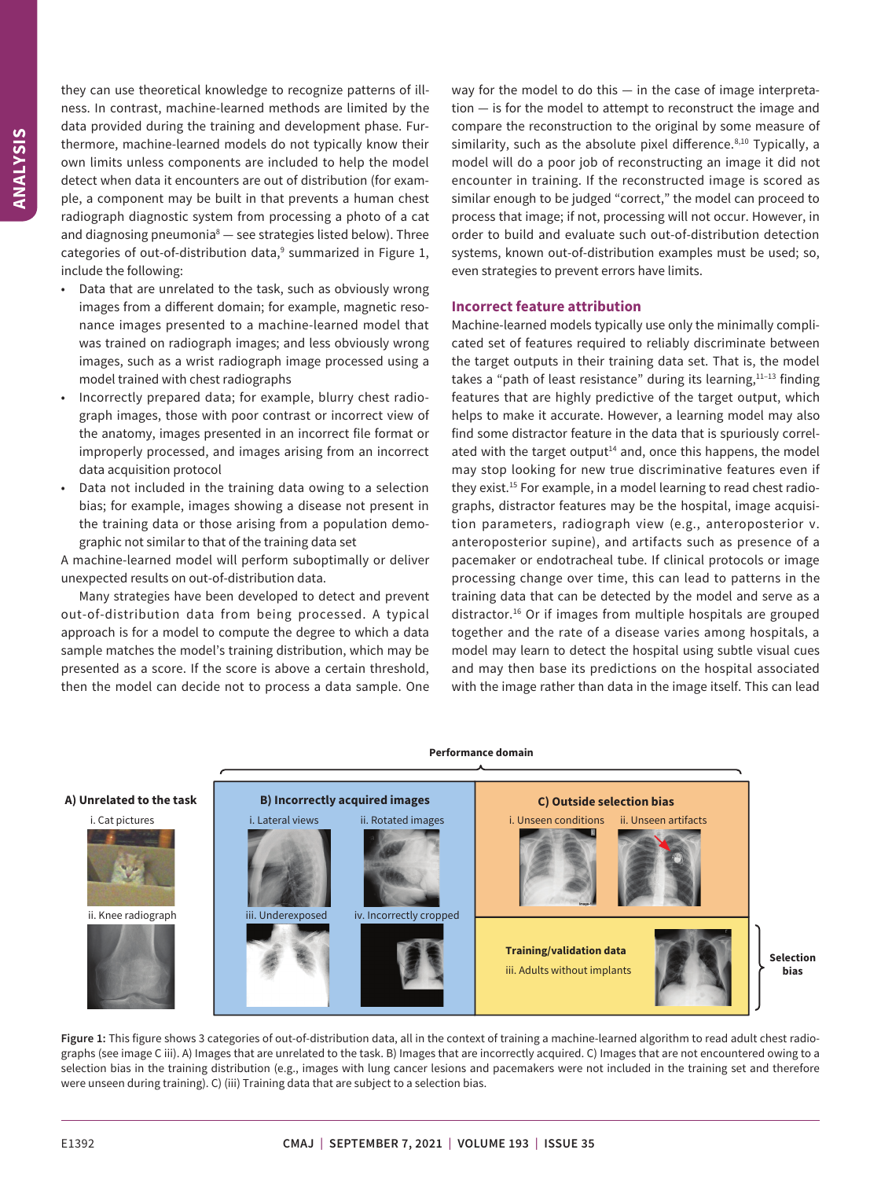they can use theoretical knowledge to recognize patterns of illness. In contrast, machine-learned methods are limited by the data provided during the training and development phase. Furthermore, machine-learned models do not typically know their own limits unless components are included to help the model detect when data it encounters are out of distribution (for example, a component may be built in that prevents a human chest radiograph diagnostic system from processing a photo of a cat and diagnosing pneumonia $8-$  see strategies listed below). Three categories of out-of-distribution data,<sup>9</sup> summarized in Figure 1, include the following:

- Data that are unrelated to the task, such as obviously wrong images from a different domain; for example, magnetic resonance images presented to a machine-learned model that was trained on radiograph images; and less obviously wrong images, such as a wrist radiograph image processed using a model trained with chest radiographs
- Incorrectly prepared data; for example, blurry chest radiograph images, those with poor contrast or incorrect view of the anatomy, images presented in an incorrect file format or improperly processed, and images arising from an incorrect data acquisition protocol
- Data not included in the training data owing to a selection bias; for example, images showing a disease not present in the training data or those arising from a population demographic not similar to that of the training data set

A machine-learned model will perform suboptimally or deliver unexpected results on out-of-distribution data.

Many strategies have been developed to detect and prevent out-of-distribution data from being processed. A typical approach is for a model to compute the degree to which a data sample matches the model's training distribution, which may be presented as a score. If the score is above a certain threshold, then the model can decide not to process a data sample. One way for the model to do this — in the case of image interpretation — is for the model to attempt to reconstruct the image and compare the reconstruction to the original by some measure of similarity, such as the absolute pixel difference. $8,10$  Typically, a model will do a poor job of reconstructing an image it did not encounter in training. If the reconstructed image is scored as similar enough to be judged "correct," the model can proceed to process that image; if not, processing will not occur. However, in order to build and evaluate such out-of-distribution detection systems, known out-of-distribution examples must be used; so, even strategies to prevent errors have limits.

#### **Incorrect feature attribution**

Machine-learned models typically use only the minimally complicated set of features required to reliably discriminate between the target outputs in their training data set. That is, the model takes a "path of least resistance" during its learning, $11-13$  finding features that are highly predictive of the target output, which helps to make it accurate. However, a learning model may also find some distractor feature in the data that is spuriously correlated with the target output<sup>14</sup> and, once this happens, the model may stop looking for new true discriminative features even if they exist.<sup>15</sup> For example, in a model learning to read chest radiographs, distractor features may be the hospital, image acquisition parameters, radiograph view (e.g., anteroposterior v. anteroposterior supine), and artifacts such as presence of a pacemaker or endotracheal tube. If clinical protocols or image processing change over time, this can lead to patterns in the training data that can be detected by the model and serve as a distractor.16 Or if images from multiple hospitals are grouped together and the rate of a disease varies among hospitals, a model may learn to detect the hospital using subtle visual cues and may then base its predictions on the hospital associated with the image rather than data in the image itself. This can lead



**Figure 1:** This figure shows 3 categories of out-of-distribution data, all in the context of training a machine-learned algorithm to read adult chest radiographs (see image C iii). A) Images that are unrelated to the task. B) Images that are incorrectly acquired. C) Images that are not encountered owing to a selection bias in the training distribution (e.g., images with lung cancer lesions and pacemakers were not included in the training set and therefore were unseen during training). C) (iii) Training data that are subject to a selection bias.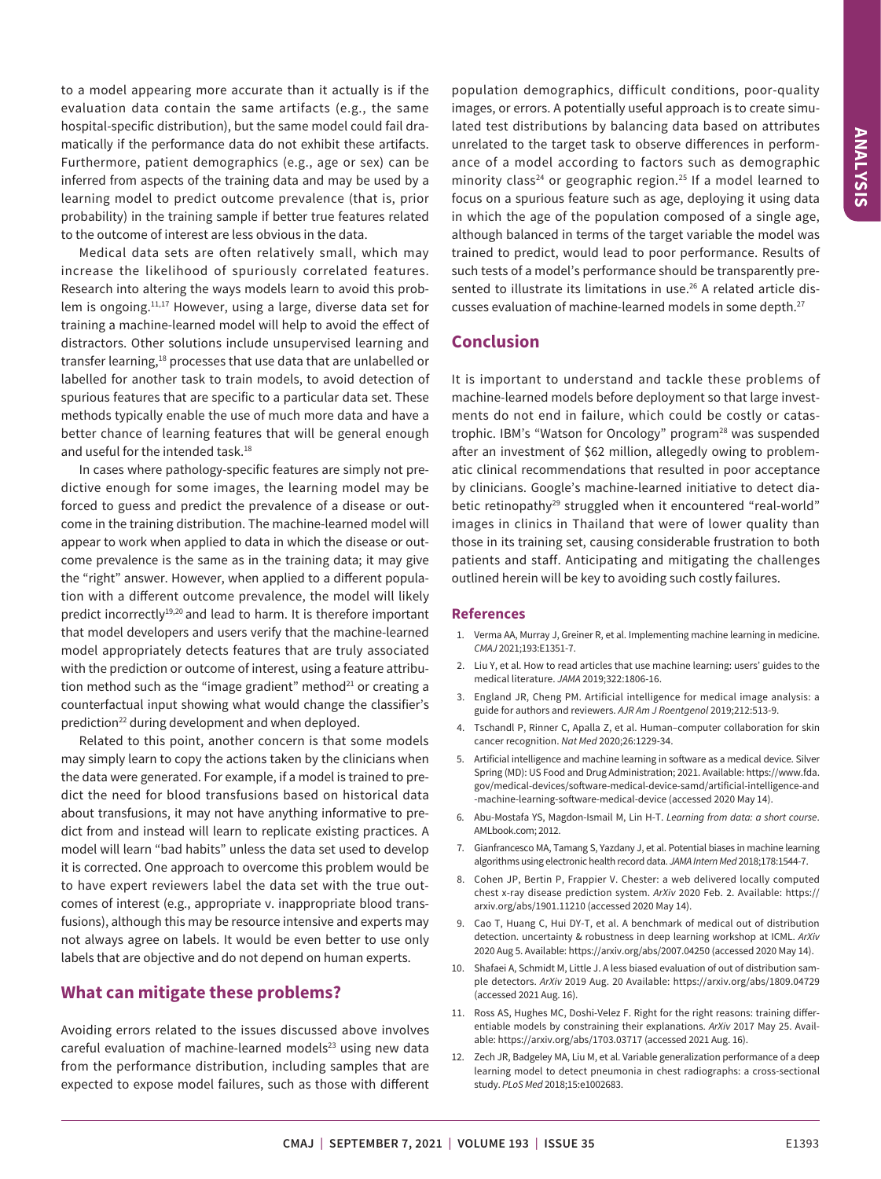to a model appearing more accurate than it actually is if the evaluation data contain the same artifacts (e.g., the same hospital-specific distribution), but the same model could fail dramatically if the performance data do not exhibit these artifacts. Furthermore, patient demographics (e.g., age or sex) can be inferred from aspects of the training data and may be used by a learning model to predict outcome prevalence (that is, prior probability) in the training sample if better true features related to the outcome of interest are less obvious in the data.

Medical data sets are often relatively small, which may increase the likelihood of spuriously correlated features. Research into altering the ways models learn to avoid this problem is ongoing.<sup>11,17</sup> However, using a large, diverse data set for training a machine-learned model will help to avoid the effect of distractors. Other solutions include unsupervised learning and transfer learning,<sup>18</sup> processes that use data that are unlabelled or labelled for another task to train models, to avoid detection of spurious features that are specific to a particular data set. These methods typically enable the use of much more data and have a better chance of learning features that will be general enough and useful for the intended task.<sup>18</sup>

In cases where pathology-specific features are simply not predictive enough for some images, the learning model may be forced to guess and predict the prevalence of a disease or outcome in the training distribution. The machine-learned model will appear to work when applied to data in which the disease or outcome prevalence is the same as in the training data; it may give the "right" answer. However, when applied to a different population with a different outcome prevalence, the model will likely predict incorrectly<sup>19,20</sup> and lead to harm. It is therefore important that model developers and users verify that the machine-learned model appropriately detects features that are truly associated with the prediction or outcome of interest, using a feature attribution method such as the "image gradient" method $21$  or creating a counterfactual input showing what would change the classifier's prediction<sup>22</sup> during development and when deployed.

Related to this point, another concern is that some models may simply learn to copy the actions taken by the clinicians when the data were generated. For example, if a model is trained to predict the need for blood transfusions based on historical data about transfusions, it may not have anything informative to predict from and instead will learn to replicate existing practices. A model will learn "bad habits" unless the data set used to develop it is corrected. One approach to overcome this problem would be to have expert reviewers label the data set with the true outcomes of interest (e.g., appropriate v. inappropriate blood transfusions), although this may be resource intensive and experts may not always agree on labels. It would be even better to use only labels that are objective and do not depend on human experts.

## **What can mitigate these problems?**

Avoiding errors related to the issues discussed above involves careful evaluation of machine-learned models $23$  using new data from the performance distribution, including samples that are expected to expose model failures, such as those with different population demographics, difficult conditions, poor-quality images, or errors. A potentially useful approach is to create simulated test distributions by balancing data based on attributes unrelated to the target task to observe differences in performance of a model according to factors such as demographic minority class<sup>24</sup> or geographic region.<sup>25</sup> If a model learned to focus on a spurious feature such as age, deploying it using data in which the age of the population composed of a single age, although balanced in terms of the target variable the model was trained to predict, would lead to poor performance. Results of such tests of a model's performance should be transparently presented to illustrate its limitations in use.<sup>26</sup> A related article discusses evaluation of machine-learned models in some depth.<sup>27</sup>

## **Conclusion**

It is important to understand and tackle these problems of machine-learned models before deployment so that large investments do not end in failure, which could be costly or catastrophic. IBM's "Watson for Oncology" program<sup>28</sup> was suspended after an investment of \$62 million, allegedly owing to problematic clinical recommendations that resulted in poor acceptance by clinicians. Google's machine-learned initiative to detect diabetic retinopathy<sup>29</sup> struggled when it encountered "real-world" images in clinics in Thailand that were of lower quality than those in its training set, causing considerable frustration to both patients and staff. Anticipating and mitigating the challenges outlined herein will be key to avoiding such costly failures.

#### **References**

- 1. Verma AA, Murray J, Greiner R, et al. Implementing machine learning in medicine. *CMAJ* 2021;193:E1351-7.
- 2. Liu Y, et al. How to read articles that use machine learning: users' guides to the medical literature. *JAMA* 2019;322:1806-16.
- 3. England JR, Cheng PM. Artificial intelligence for medical image analysis: a guide for authors and reviewers. *AJR Am J Roentgenol* 2019;212:513-9.
- 4. Tschandl P, Rinner C, Apalla Z, et al. Human–computer collaboration for skin cancer recognition. *Nat Med* 2020;26:1229-34.
- 5. Artificial intelligence and machine learning in software as a medical device. Silver Spring (MD): US Food and Drug Administration; 2021. Available: https://www.fda. gov/medical-devices/software-medical-device-samd/artificial-intelligence-and -machine-learning-software-medical-device (accessed 2020 May 14).
- 6. Abu-Mostafa YS, Magdon-Ismail M, Lin H-T. *Learning from data: a short course*. AMLbook.com; 2012.
- 7. Gianfrancesco MA, Tamang S, Yazdany J, et al. Potential biases in machine learning algorithms using electronic health record data. *JAMA Intern Med* 2018;178:1544-7.
- Cohen JP, Bertin P, Frappier V. Chester: a web delivered locally computed chest x-ray disease prediction system. *ArXiv* 2020 Feb. 2. Available: https:// arxiv.org/abs/1901.11210 (accessed 2020 May 14).
- 9. Cao T, Huang C, Hui DY-T, et al. A benchmark of medical out of distribution detection. uncertainty & robustness in deep learning workshop at ICML. *ArXiv* 2020 Aug 5. Available: https://arxiv.org/abs/2007.04250 (accessed 2020 May 14).
- 10. Shafaei A, Schmidt M, Little J. A less biased evaluation of out of distribution sample detectors. *ArXiv* 2019 Aug. 20 Available: https://arxiv.org/abs/1809.04729 (accessed 2021 Aug. 16).
- 11. Ross AS, Hughes MC, Doshi-Velez F. Right for the right reasons: training differentiable models by constraining their explanations. *ArXiv* 2017 May 25. Available: https://arxiv.org/abs/1703.03717 (accessed 2021 Aug. 16).
- 12. Zech JR, Badgeley MA, Liu M, et al. Variable generalization performance of a deep learning model to detect pneumonia in chest radiographs: a cross-sectional study. *PLoS Med* 2018;15:e1002683.